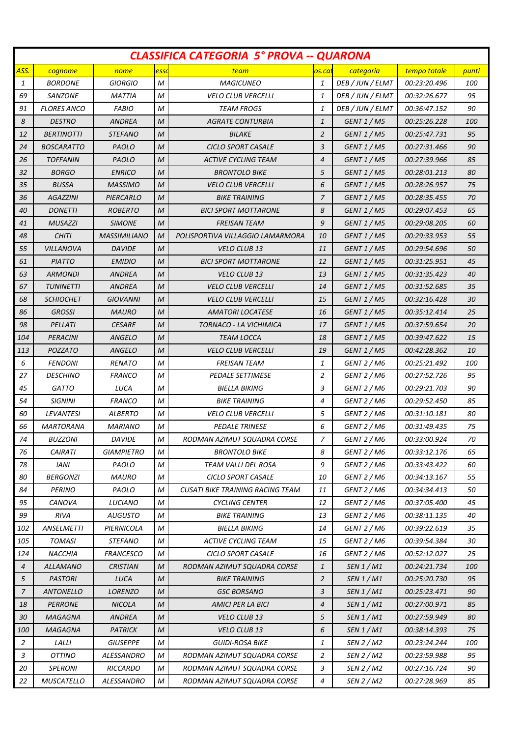| <b>CLASSIFICA CATEGORIA 5° PROVA -- QUARONA</b> |                        |                       |                  |                                         |                |                       |              |            |
|-------------------------------------------------|------------------------|-----------------------|------------------|-----------------------------------------|----------------|-----------------------|--------------|------------|
| ASS.                                            | cognome                | nome                  | esso             | team                                    | os.ca          | categoria             | tempo totale | punti      |
| 1                                               | <b>BORDONE</b>         | <b>GIORGIO</b>        | M                | <b>MAGICUNEO</b>                        | 1              | DEB / JUN / ELMT      | 00:23:20.496 | 100        |
| 69                                              | SANZONE                | <b>MATTIA</b>         | M                | <b>VELO CLUB VERCELLI</b>               | $\mathbf{1}$   | DEB / JUN / ELMT      | 00:32:26.677 | 95         |
| 91                                              | <b>FLORES ANCO</b>     | <b>FABIO</b>          | M                | <b>TEAM FROGS</b>                       | 1              | DEB / JUN / ELMT      | 00:36:47.152 | 90         |
| 8                                               | <b>DESTRO</b>          | ANDREA                | M                | <b>AGRATE CONTURBIA</b>                 | $\mathbf{1}$   | GENT 1 / M5           | 00:25:26.228 | <i>100</i> |
| 12                                              | <b>BERTINOTTI</b>      | <i>STEFANO</i>        | M                | <b>BILAKE</b>                           | $\overline{2}$ | GENT 1 / M5           | 00:25:47.731 | 95         |
| 24                                              | <b>BOSCARATTO</b>      | PAOLO                 | M                | <b>CICLO SPORT CASALE</b>               | 3              | GENT 1 / M5           | 00:27:31.466 | 90         |
| 26                                              | <b>TOFFANIN</b>        | PAOLO                 | M                | <b>ACTIVE CYCLING TEAM</b>              | $\overline{4}$ | GENT 1 / M5           | 00:27:39.966 | 85         |
| 32                                              | <b>BORGO</b>           | <b>ENRICO</b>         | M                | <b>BRONTOLO BIKE</b>                    | 5              | GENT 1 / M5           | 00:28:01.213 | 80         |
| 35                                              | <b>BUSSA</b>           | <b>MASSIMO</b>        | M                | <b>VELO CLUB VERCELLI</b>               | 6              | GENT 1 / M5           | 00:28:26.957 | 75         |
| 36                                              | <b>AGAZZINI</b>        | PIERCARLO             | M                | <b>BIKE TRAINING</b>                    | 7              | GENT 1 / M5           | 00:28:35.455 | 70         |
| 40                                              | <b>DONETTI</b>         | <b>ROBERTO</b>        | M                | <b>BICI SPORT MOTTARONE</b>             | 8              | GENT 1 / M5           | 00:29:07.453 | 65         |
| 41                                              | <b>MUSAZZI</b>         | <b>SIMONE</b>         | M                | <b>FREISAN TEAM</b>                     | 9              | GENT 1 / M5           | 00:29:08.205 | 60         |
| 48                                              | <b>CHITI</b>           | <b>MASSIMILIANO</b>   | M                | POLISPORTIVA VILLAGGIO LAMARMORA        | 10             | GENT 1 / M5           | 00:29:33.953 | 55         |
| 55                                              | VILLANOVA              | <b>DAVIDE</b>         | M                | <b>VELO CLUB 13</b>                     | 11             | GENT 1 / M5           | 00:29:54.696 | 50         |
| 61                                              | <b>PIATTO</b>          | <b>EMIDIO</b>         | M                | <b>BICI SPORT MOTTARONE</b>             | 12             | GENT 1 / M5           | 00:31:25.951 | 45         |
| 63                                              | <b>ARMONDI</b>         | <b>ANDREA</b>         | M                | <b>VELO CLUB 13</b>                     | 13             | GENT 1 / M5           | 00:31:35.423 | 40         |
| 67                                              | <b>TUNINETTI</b>       | ANDREA                | M                | <b>VELO CLUB VERCELLI</b>               | 14             | GENT 1 / M5           | 00:31:52.685 | 35         |
| 68                                              | <i>SCHIOCHET</i>       | GIOVANNI              | M                | <b>VELO CLUB VERCELLI</b>               | 15             | GENT 1 / M5           | 00:32:16.428 | 30         |
| 86                                              | <b>GROSSI</b>          | <b>MAURO</b>          | M                | <b>AMATORI LOCATESE</b>                 | 16             | GENT 1 / M5           | 00:35:12.414 | 25         |
| 98                                              | PELLATI                | <b>CESARE</b>         | M                | TORNACO - LA VICHIMICA                  | 17             | GENT 1 / M5           | 00:37:59.654 | 20         |
| 104                                             | <b>PERACINI</b>        | <b>ANGELO</b>         | M                | <b>TEAM LOCCA</b>                       | 18             | GENT 1 / M5           | 00:39:47.622 | 15         |
| 113                                             | <b>POZZATO</b>         | ANGELO                | M                | VELO CLUB VERCELLI                      | 19             | GENT 1 / M5           | 00:42:28.362 | 10         |
| 6                                               | <b>FENDONI</b>         | <b>RENATO</b>         | M                | <b>FREISAN TEAM</b>                     | 1              | GENT 2 / M6           | 00:25:21.492 | <i>100</i> |
| 27                                              | <i><b>DESCHINO</b></i> | <b>FRANCO</b>         | M                | PEDALE SETTIMESE                        | 2              | GENT 2 / M6           | 00:27:52.726 | 95         |
| 45                                              | <b>GATTO</b>           | LUCA                  | M                | <b>BIELLA BIKING</b>                    | 3              | GENT 2 / M6           | 00:29:21.703 | 90         |
| 54                                              | <b>SIGNINI</b>         | <b>FRANCO</b>         | M                | <b>BIKE TRAINING</b>                    | $\overline{a}$ | GENT 2 / M6           | 00:29:52.450 | 85         |
| 60                                              | <b>LEVANTESI</b>       | <i>ALBERTO</i>        | M                | <b>VELO CLUB VERCELLI</b>               | 5              | GENT 2 / M6           | 00:31:10.181 | 80         |
| 66                                              | <b>MARTORANA</b>       | <b>MARIANO</b>        | M                | <b>PEDALE TRINESE</b>                   | 6              | GENT 2 / M6           | 00:31:49.435 | 75         |
| $74$                                            | <b>BUZZONI</b>         | DAVIDE                | $\boldsymbol{M}$ | RODMAN AZIMUT SQUADRA CORSE             | $\overline{7}$ | GENT 2 / M6           | 00:33:00.924 | 70         |
| 76                                              | <b>CAIRATI</b>         | <b>GIAMPIETRO</b>     | М                | <b>BRONTOLO BIKE</b>                    | 8              | GENT 2 / M6           | 00:33:12.176 | 65         |
| 78                                              | <b>IANI</b>            | PAOLO                 | Μ                | TEAM VALLI DEL ROSA                     | 9              | GENT 2 / M6           | 00:33:43.422 | 60         |
| 80                                              | <b>BERGONZI</b>        | <b>MAURO</b>          | М                | <b>CICLO SPORT CASALE</b>               | 10             | GENT 2 / M6           | 00:34:13.167 | 55         |
| 84                                              | <b>PERINO</b>          | PAOLO                 | M                | <b>CUSATI BIKE TRAINING RACING TEAM</b> | 11             | GENT 2 / M6           | 00:34:34.413 | 50         |
| 95                                              | CANOVA                 | LUCIANO               | M                | <b>CYCLING CENTER</b>                   | 12             | GENT 2 / M6           | 00:37:05.400 | 45         |
| 99                                              | <b>RIVA</b>            | <i>AUGUSTO</i>        | M                | <b>BIKE TRAINING</b>                    | 13             | GENT <sub>2</sub> /M6 | 00:38:11.135 | 40         |
| 102                                             | <b>ANSELMETTI</b>      | PIERNICOLA            | M                | <b>BIELLA BIKING</b>                    | 14             | GENT 2 / M6           | 00:39:22.619 | 35         |
| 105                                             | <b>TOMASI</b>          | <b>STEFANO</b>        | М                | <b>ACTIVE CYCLING TEAM</b>              | 15             | GENT 2 / M6           | 00:39:54.384 | 30         |
| 124                                             | NACCHIA                | <b>FRANCESCO</b>      | М                | <b>CICLO SPORT CASALE</b>               | 16             | GENT 2 / M6           | 00:52:12.027 | 25         |
| 4                                               | <b>ALLAMANO</b>        | <b>CRISTIAN</b>       | M                | RODMAN AZIMUT SQUADRA CORSE             | $\mathbf{1}$   | SEN 1 / M1            | 00:24:21.734 | <i>100</i> |
| 5                                               | <b>PASTORI</b>         | LUCA                  | M                | <b>BIKE TRAINING</b>                    | $\overline{2}$ | SEN 1 / M1            | 00:25:20.730 | 95         |
| 7                                               | ANTONELLO              | <i><b>LORENZO</b></i> | M                | <b>GSC BORSANO</b>                      | 3              | SEN 1 / M1            | 00:25:23.471 | 90         |
| 18                                              | <b>PERRONE</b>         | <b>NICOLA</b>         | M                | <b>AMICI PER LA BICI</b>                | $\overline{4}$ | SEN 1 / M1            | 00:27:00.971 | 85         |
| 30                                              | <b>MAGAGNA</b>         | ANDREA                | M                | <b>VELO CLUB 13</b>                     | 5              | SEN 1 / M1            | 00:27:59.949 | 80         |
| 100                                             | <b>MAGAGNA</b>         | <b>PATRICK</b>        | M                | VELO CLUB 13                            | 6              | SEN 1 / M1            | 00:38:14.393 | 75         |
| $\overline{2}$                                  | LALLI                  | <b>GIUSEPPE</b>       | М                | <b>GUIDI-ROSA BIKE</b>                  | 1              | SEN 2 / M2            | 00:23:24.244 | <i>100</i> |
| $\mathfrak{Z}$                                  | <b>OTTINO</b>          | ALESSANDRO            | М                | RODMAN AZIMUT SQUADRA CORSE             | $\overline{a}$ | SEN 2 / M2            | 00:23:59.988 | 95         |
| 20                                              | <b>SPERONI</b>         | RICCARDO              | Μ                | RODMAN AZIMUT SQUADRA CORSE             | 3              | SEN 2 / M2            | 00:27:16.724 | 90         |
| 22                                              | MUSCATELLO             | ALESSANDRO            | Μ                | RODMAN AZIMUT SQUADRA CORSE             | $\overline{4}$ | SEN 2 / M2            | 00:27:28.969 | 85         |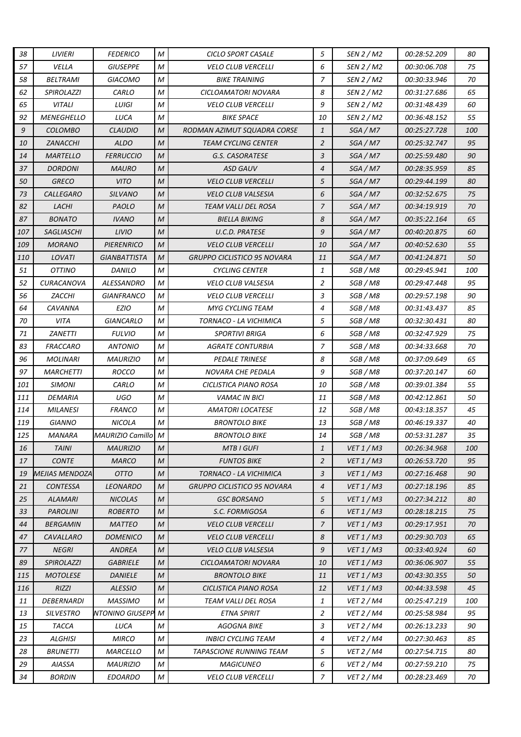| 38  | <b>LIVIERI</b>    | <b>FEDERICO</b>         | M             | <b>CICLO SPORT CASALE</b>          | 5              | SEN 2 / M2        | 00:28:52.209        | 80         |
|-----|-------------------|-------------------------|---------------|------------------------------------|----------------|-------------------|---------------------|------------|
| 57  | VELLA             | GIUSEPPE                | M             | <b>VELO CLUB VERCELLI</b>          | 6              | SEN 2 / M2        | 00:30:06.708        | 75         |
| 58  | BELTRAMI          | <b>GIACOMO</b>          | М             | <b>BIKE TRAINING</b>               | $\overline{7}$ | SEN 2 / M2        | 00:30:33.946        | 70         |
| 62  | <b>SPIROLAZZI</b> | CARLO                   | M             | CICLOAMATORI NOVARA                | 8              | SEN 2 / M2        | 00:31:27.686        | 65         |
| 65  | <b>VITALI</b>     | LUIGI                   | М             | <b>VELO CLUB VERCELLI</b>          | 9              | SEN 2 / M2        | 00:31:48.439        | 60         |
| 92  | <b>MENEGHELLO</b> | LUCA                    | M             | <b>BIKE SPACE</b>                  | 10             | SEN 2 / M2        | 00:36:48.152        | 55         |
| 9   | <b>COLOMBO</b>    | CLAUDIO                 | M             | RODMAN AZIMUT SQUADRA CORSE        | $\mathbf{1}$   | SGA / M7          | 00:25:27.728        | 100        |
| 10  | ZANACCHI          | <b>ALDO</b>             | M             | <b>TEAM CYCLING CENTER</b>         | 2              | SGA / M7          | 00:25:32.747        | 95         |
| 14  | <b>MARTELLO</b>   | <i><b>FERRUCCIO</b></i> | M             | G.S. CASORATESE                    | 3              | SGA / M7          | 00:25:59.480        | 90         |
| 37  | <b>DORDONI</b>    | <b>MAURO</b>            | M             | <b>ASD GAUV</b>                    | $\overline{4}$ | SGA / M7          | 00:28:35.959        | 85         |
| 50  | <b>GRECO</b>      | <b>VITO</b>             | M             | <b>VELO CLUB VERCELLI</b>          | 5              | SGA/M7            | 00:29:44.199        | 80         |
| 73  | <b>CALLEGARO</b>  | <b>SILVANO</b>          | M             | <b>VELO CLUB VALSESIA</b>          | 6              | SGA/M7            | 00:32:52.675        | 75         |
| 82  | LACHI             | PAOLO                   | M             | TEAM VALLI DEL ROSA                | $\overline{7}$ | SGA/M7            | 00:34:19.919        | 70         |
| 87  | <b>BONATO</b>     | <b>IVANO</b>            | M             | <b>BIELLA BIKING</b>               | 8              | SGA / M7          | 00:35:22.164        | 65         |
| 107 | SAGLIASCHI        | LIVIO                   | М             | U.C.D. PRATESE                     | 9              | SGA / M7          | 00:40:20.875        | 60         |
| 109 | <b>MORANO</b>     | <b>PIERENRICO</b>       | M             | <b>VELO CLUB VERCELLI</b>          | 10             | SGA / M7          | 00:40:52.630        | 55         |
| 110 | LOVATI            | <b>GIANBATTISTA</b>     | M             | GRUPPO CICLISTICO 95 NOVARA        | 11             | SGA/M7            | 00:41:24.871        | 50         |
| 51  | <i>OTTINO</i>     | DANILO                  | M             | <b>CYCLING CENTER</b>              | 1              | SGB / M8          | 00:29:45.941        | <i>100</i> |
| 52  | <b>CURACANOVA</b> | ALESSANDRO              | M             | <b>VELO CLUB VALSESIA</b>          | 2              | SGB / M8          | 00:29:47.448        | 95         |
| 56  | ZACCHI            | GIANFRANCO              | M             | <b>VELO CLUB VERCELLI</b>          | 3              | SGB / M8          | 00:29:57.198        | 90         |
| 64  | CAVANNA           | <b>EZIO</b>             | M             | <b>MYG CYCLING TEAM</b>            | $\overline{4}$ | SGB / M8          | 00:31:43.437        | 85         |
| 70  | VITA              | GIANCARLO               | M             | TORNACO - LA VICHIMICA             | 5              | SGB / M8          | 00:32:30.431        | 80         |
| 71  | <b>ZANETTI</b>    | <b>FULVIO</b>           | M             | <b>SPORTIVI BRIGA</b>              | 6              | SGB / M8          | 00:32:47.929        | 75         |
| 83  | <b>FRACCARO</b>   | <b>ANTONIO</b>          | М             | <b>AGRATE CONTURBIA</b>            | $\overline{z}$ | SGB / M8          | 00:34:33.668        | 70         |
| 96  | <b>MOLINARI</b>   | <b>MAURIZIO</b>         | M             | <b>PEDALE TRINESE</b>              | 8              | SGB / M8          | 00:37:09.649        | 65         |
| 97  | <b>MARCHETTI</b>  | ROCCO                   | M             | NOVARA CHE PEDALA                  | 9              | SGB / M8          | 00:37:20.147        | 60         |
| 101 | <b>SIMONI</b>     | CARLO                   | M             | CICLISTICA PIANO ROSA              | 10             | SGB / M8          | 00:39:01.384        | 55         |
| 111 | DEMARIA           | UGO                     | M             | <b>VAMAC IN BICI</b>               | 11             | SGB / M8          | 00:42:12.861        | 50         |
| 114 | <b>MILANESI</b>   | <b>FRANCO</b>           | М             | <b>AMATORI LOCATESE</b>            | 12             | SGB / M8          | 00:43:18.357        | 45         |
| 119 | <b>GIANNO</b>     | <b>NICOLA</b>           | M             | <b>BRONTOLO BIKE</b>               | 13             | SGB / M8          | 00:46:19.337        | 40         |
| 125 | <b>MANARA</b>     | MAURIZIO Camillo M      |               | <b>BRONTOLO BIKE</b>               | 14             | SGB / M8          | 00:53:31.287        | 35         |
| 16  | <b>TAINI</b>      | <b>MAURIZIO</b>         | M             | <b>MTB I GUFI</b>                  | $\mathbf{1}$   | VET1/M3           | 00:26:34.968        | <i>100</i> |
| 17  | <b>CONTE</b>      | <b>MARCO</b>            | $\mathcal{M}$ | <b>FUNTOS BIKE</b>                 | 2              | VET1/M3           | <i>00:26:53.720</i> | 95         |
| 19  | MEJIAS MENDOZA    | <b>OTTO</b>             | M             | TORNACO - LA VICHIMICA             | 3              | VET 1/M3          | 00:27:16.468        | 90         |
| 21  | <b>CONTESSA</b>   | <b>LEONARDO</b>         | M             | <b>GRUPPO CICLISTICO 95 NOVARA</b> | $\overline{4}$ | VET 1/M3          | 00:27:18.196        | 85         |
| 25  | <b>ALAMARI</b>    | <b>NICOLAS</b>          | M             | GSC BORSANO                        | 5              | VET1/M3           | 00:27:34.212        | 80         |
| 33  | <b>PAROLINI</b>   | <b>ROBERTO</b>          | M             | S.C. FORMIGOSA                     | 6              | VET 1/M3          | 00:28:18.215        | 75         |
| 44  | BERGAMIN          | MATTEO                  | M             | <b>VELO CLUB VERCELLI</b>          | $\overline{7}$ | VET 1/M3          | 00:29:17.951        | 70         |
| 47  | CAVALLARO         | <b>DOMENICO</b>         | M             | <b>VELO CLUB VERCELLI</b>          | 8              | VET 1/M3          | 00:29:30.703        | 65         |
| 77  | <b>NEGRI</b>      | ANDREA                  | M             | <b>VELO CLUB VALSESIA</b>          | 9              | VET 1/M3          | 00:33:40.924        | 60         |
| 89  | <b>SPIROLAZZI</b> | <b>GABRIELE</b>         | М             | CICLOAMATORI NOVARA                | 10             | VET 1/M3          | 00:36:06.907        | 55         |
| 115 | <b>MOTOLESE</b>   | <b>DANIELE</b>          | M             | <b>BRONTOLO BIKE</b>               | 11             | VET 1 / M3        | 00:43:30.355        | 50         |
| 116 | RIZZI             | <b>ALESSIO</b>          | M             | CICLISTICA PIANO ROSA              | 12             | VET 1/M3          | 00:44:33.598        | 45         |
| 11  | DEBERNARDI        | <b>MASSIMO</b>          | M             | TEAM VALLI DEL ROSA                | 1              | <b>VET 2 / M4</b> | 00:25:47.219        | <i>100</i> |
| 13  | <b>SILVESTRO</b>  | NTONINO GIUSEPP         | M             | ETNA SPIRIT                        | 2              | <b>VET 2 / M4</b> | 00:25:58.984        | 95         |
| 15  | <b>TACCA</b>      | LUCA                    | М             | <b>AGOGNA BIKE</b>                 | 3              | <b>VET 2 / M4</b> | 00:26:13.233        | 90         |
| 23  | ALGHISI           | <b>MIRCO</b>            | M             | <b>INBICI CYCLING TEAM</b>         | $\overline{4}$ | VET 2 / M4        | 00:27:30.463        | 85         |
| 28  | <b>BRUNETTI</b>   | MARCELLO                | М             | <b>TAPASCIONE RUNNING TEAM</b>     | 5              | VET 2 / M4        | 00:27:54.715        | 80         |
| 29  | AIASSA            | <b>MAURIZIO</b>         | М             | <b>MAGICUNEO</b>                   | 6              | <b>VET 2 / M4</b> | 00:27:59.210        | 75         |
| 34  | <b>BORDIN</b>     | <b>EDOARDO</b>          | M             | <b>VELO CLUB VERCELLI</b>          | 7              | VET 2 / M4        | 00:28:23.469        | 70         |